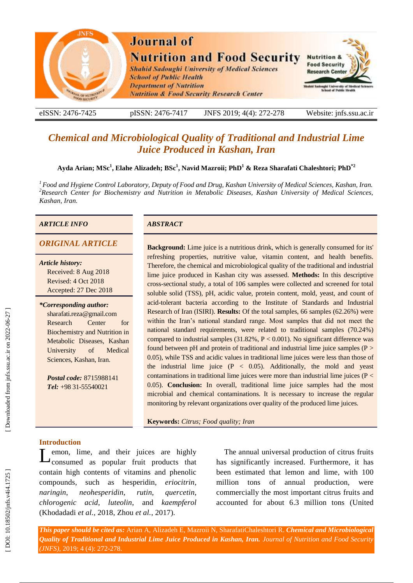

eISSN: 2476-7425 pISSN: 2476-7417 -7417 JNFS 201 9; 4 ( 4): 272 Website: jnfs.ssu.ac.ir

# *Chemical and Microbiological Quality of Traditional and Industrial Lime Juice Produced in Kashan, Iran*

## **Ayda Arian ; MS c 1 , Elahe Alizadeh ; BSc 1 , Navid Mazroii; PhD 1 & Reza Sharafati Chaleshtori; PhD \* 2**

<sup>1</sup> Food and Hygiene Control Laboratory, Deputy of Food and Drug, Kashan University of Medical Sciences, Kashan, Iran.<br><sup>2</sup> Research Center for Biochemistry and Nutrition in Metabolic Diseases, Kashan University of Medical *Kashan, Iran.*

#### *ARTICLE INFO ABSTRACT*

*Article history:* Received: 8 Aug 2018 Revised: 4 Oct 2018 Accepted: 27 Dec 2018

*\*Corresponding author:* sharafati.reza@gmail.com Research Center for Biochemistry and Nutrition in Metabolic Diseases, Kashan University of Medical Sciences, Kashan, Iran .

*Postal code:* 8715988141 *Tel:* +98 31 -55540021

*ORIGINAL ARTICLE* **Background:** Lime juice is a nutritious drink, which is generally consumed for its' refreshing properties, nutritive value, vitamin content, and health benefits. Therefore, the chemical and microbiological quality of the traditional and industrial lime juice produced in Kashan city was assessed. **Methods:** In this descriptive cross -sectional study, a total of 106 samples were collected and screened for total soluble solid (TSS), pH, acidic value, protein content, mold, yeast, and count of acid -tolerant bacteria according to the Institute of Standards and Industrial Research of Iran (ISIRI). **Results:** Of the total samples, 66 samples (62.26%) were within the Iran's national standard range. Most samples that did not meet the national standard requirements, were related to traditional samples (70.24%) compared to industrial samples  $(31.82\%, P < 0.001)$ . No significant difference was found between pH and protein of traditional and industrial lime juice samples (P > 0.05), while TSS and acidic values in traditional lime juices were less than those of the industrial lime juice  $(P < 0.05)$ . Additionally, the mold and yeast contaminations in traditional lime juices were more than industrial lime juices (P < 0.05). **Conclusion:** In overall, traditional lime juice samples had the most microbial and chemical contaminations. It is necessary to increase the regular monitoring by relevant organizations over quality of the produced lime juices.

**Keywords:** *Citrus ; Food quality ; Iran*

#### **Introduction**

emon, lime , and their juices are highly Lemon, lime, and their juices are highly<br>consumed as popular fruit products that contain high contents of vitamins and phenolic compounds , such as hesperidin, *eriocitrin*, *naringin*, *neohesperidin*, *rutin*, *quercetin*, *chlorogenic acid*, *luteolin*, and *kaempferol* (Khodadadi *et al.*, 2018, Zhou *et al.*, 2017).

The annual universal production of citrus fruit s has significantly increased. Furthermore, it has been estimated that lemon and lime, with 100 million tons of annual production, were commercially the most important citrus fruit s and accounted for about 6.3 million tons (United

*This paper should be cited as:* Arian A, Alizadeh E, Mazroii N, SharafatiChaleshtori R . *Chemical and Microbiological Quality of Traditional and Industrial Lime Juice Produced in Kashan, Iran. Journal of Nutrition and Food Security (JNFS)*, 2019; 4 (4): 272 -278.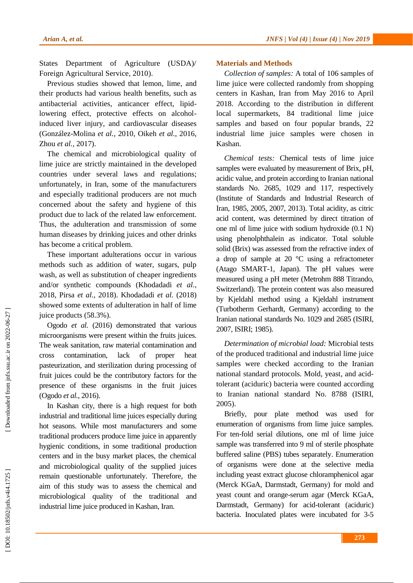States Department of Agriculture (USDA)/ Foreign Agricultural Service, 2010 ) .

Previous studies showed that lemon, lime , and their products had various health benefits, such as antibacterial activities, anticancer effect, lipid lowering effect, protective effects on alcoholinduced liver injury , and cardiovascular diseases (González -Molina *et al.*, 2010, Oikeh *et al.*, 2016, Zhou *et al.*, 2017 ) .

The chemical and microbiological quality of lime juice are strictly maintained in the developed countries under several laws and regulations ; unfortunately, in Iran, some of the manufacturers and especially traditional producers are not much concerned about the safety and hygiene of this product due to lack of the related law enforcement. Thus , the adulteration and transmission of some human diseases by drinking juice s and other drinks has become a critical problem.

These important adulterations occur in various methods such as addition of water, sugars, pulp wash, as well as substitution of cheaper ingredients and/or synthetic compounds (Khodadadi *et al.*, 2018, Pirsa *et al.*, 2018 ). Khodadadi *et al.* (2018) showed some extents of adulteration in half of lime juice products (58.3%).

Ogodo *et al.* (2016) demonstrated that various microorganisms were present within the fruits juices. The weak sanitation, raw material contamination and cross contamination, lack of proper heat pasteurization , and sterilization during processing of fruit juices could be the contributory factor s for the presence of these organisms in the fruit juices (Ogodo *et al.*, 2016).

In Kashan city, there is a high request for both industrial and traditional lime juices especially during hot seasons. While most manufacturers and some traditional producers produce lime juice in apparently hygienic conditions, in some traditional production center s and in the busy market places, the chemical and microbiological quality of the supplied juices remain questionable unfortunately. Therefore, the aim of this study was to assess the chemical and microbiological quality of the traditional and industrial lime juice produced in Kashan, Iran.

### **Materials and Methods**

*Collection of samples :* A total of 106 samples of lime juice were collected randomly from shopping centers in Kashan, Iran from May 2016 to April 2018. According to the distribution in different local supermarkets, 84 traditional lime juice samples and based on four popular brands, 22 industrial lime juice samples were chosen in Kashan .

*Chemical tests :* Chemical tests of lime juice samples were evaluated by measurement of Brix, pH, acidic value , and protein according to Iranian national standards No. 2685, 1029 and 117, respectively (Institute of Standards and Industrial Research of Iran, 1985, 2005, 2007, 2013 ). Total acidity , as citric acid content , was determined by direct titration of one ml of lime juice with sodium hydroxide (0.1 N) using phenolphthalein as indicator. Total soluble solid (Brix) was assessed from the refractive index of a drop of sample at 20 °C using a refractometer (Atago SMART -1, Japan). The pH values were measured using a pH meter (Metrohm 888 Titrando, Switzerland). The protein content was also measured by Kjeldahl method using a Kjeldahl instrument (Turbotherm Gerhardt, Germany) according to the Iranian national standards No. 1029 and 2685 (ISIRI, 2007, ISIRI; 1985 ) .

*Determination of microbial load :* Microbial tests of the produced traditional and industrial lime juice samples were checked according to the Iranian national standard protocols. Mold, yeast , and acid tolerant (aciduric ) bacteria were counted according to Iranian national standard No. 8788 (ISIRI, 2005) .

Briefly, pour plate method was used for enumeration of organisms from lime juice samples. For ten -fold serial dilutions, one m l of lime juice sample was transferred into 9 ml of sterile phosphate buffered saline (PBS) tubes separately. Enumeration of organisms were done at the selective media including yeast extract glucose chloramphenicol agar (Merck KGaA, Darmstadt, Germany) for mold and yeast count and orange -serum agar (Merck KGaA, Darmstadt, Germany) for acid-tolerant (aciduric) bacteria. Inoculated plates were incubated for 3 -5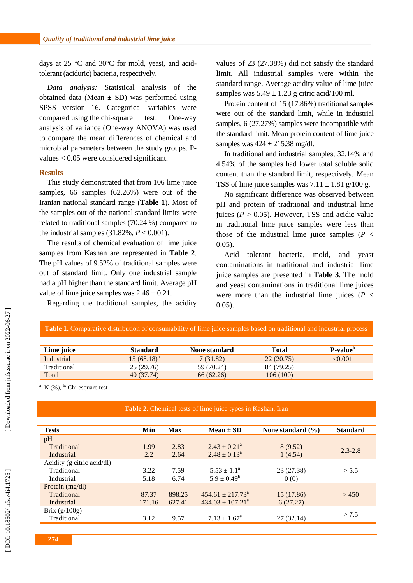days at  $25 \text{ °C}$  and  $30 \text{ °C}$  for mold, yeast, and acidtolerant (aciduric ) bacteria, respectively.

*Data analysis :* Statistical analysis of the obtained data (Mean  $\pm$  SD) was performed using SPSS version 16. Categorical variables were compared using the chi-square test . One -way analysis of variance (One -way ANOVA) was used to compare the mean differences of chemical and microbial parameters between the study groups. P values < 0.05 were considered significant.

#### **Results**

This study demonstrated that from 106 lime juice samples, 66 samples (62.26%) were out of the Iranian national standard range (**Table 1**). Most of the samples out of the national standard limits were related to traditional samples (70.24 %) compared to the industrial samples  $(31.82\%, P < 0.001)$ .

The results of chemical evaluation of lime juice samples from Kashan are represented in **Table 2**. The pH value s of 9.52% of traditional samples were out of standard limit. Only one industrial sample had a pH higher than the standard limit. Average pH value of lime juice samples was  $2.46 \pm 0.21$ .

Regarding the traditional samples, the acidity

values of 23 (27.38%) did not satisfy the standard limit. All industrial samples were within the standard range. Average acidity value of lime juice samples was  $5.49 \pm 1.23$  g citric acid/100 ml.

Protein content of 15 (17.86%) traditional samples were out of the standard limit, while in industrial samples, 6 (27.27%) samples were incompatible with the standard limit. Mean protein content of lime juice samples was  $424 \pm 215.38$  mg/dl.

In traditional and industrial samples, 32.14% and 4.54% of the samples had lower total soluble solid content than the standard limit, respectively. Mean TSS of lime juice samples was  $7.11 \pm 1.81$  g/100 g.

No significant difference was observed between pH and protein of traditional and industrial lime juices ( $P > 0.05$ ). However, TSS and acidic value in traditional lime juice samples were less than those of the industrial lime juice samples  $(P \leq$ 0.05).

Acid tolerant bacteria. mold, and yeast contaminations in traditional and industrial lime juice samples are presented in **Table 3**. The mold and yeast contaminations in traditional lime juices were more than the industrial lime juices ( $P \leq$ 0.05).

| Lime juice  | <b>Standard</b> | None standard | Total      | P-value <sup>"</sup> |
|-------------|-----------------|---------------|------------|----------------------|
| Industrial  | $15(68.18)^{a}$ | 7(31.82)      | 22(20.75)  | < 0.001              |
| Traditional | 25(29.76)       | 59 (70.24)    | 84 (79.25) |                      |
| Total       | 40(37.74)       | 66(62.26)     | 106 (100)  |                      |

 $a: N$  (%),  $b:$  Chi esquare test

#### **Table 2.** Chemical tests of lime juice types in Kashan, Iran

| <b>Tests</b>               | Min    | <b>Max</b> | $Mean \pm SD$               | None standard $(\% )$ | <b>Standard</b> |
|----------------------------|--------|------------|-----------------------------|-----------------------|-----------------|
| pH                         |        |            |                             |                       |                 |
| Traditional                | 1.99   | 2.83       | $2.43 \pm 0.21^{\circ}$     | 8(9.52)               | $2.3 - 2.8$     |
| Industrial                 | 2.2    | 2.64       | $2.48 \pm 0.13^a$           | 1(4.54)               |                 |
| Acidity (g citric acid/dl) |        |            |                             |                       |                 |
| Traditional                | 3.22   | 7.59       | $5.53 \pm 1.1^{\circ}$      | 23 (27.38)            | > 5.5           |
| Industrial                 | 5.18   | 6.74       | $5.9 \pm 0.49^b$            | 0(0)                  |                 |
| Protein $(mg/dl)$          |        |            |                             |                       |                 |
| Traditional                | 87.37  | 898.25     | $454.61 \pm 217.73^{\circ}$ | 15(17.86)             | >450            |
| Industrial                 | 171.16 | 627.41     | $434.03 \pm 107.21^a$       | 6(27.27)              |                 |
| Brix $(g/100g)$            |        |            |                             |                       |                 |
| Traditional                | 3.12   | 9.57       | $7.13 \pm 1.67^{\circ}$     | 27(32.14)             | > 7.5           |
|                            |        |            |                             |                       |                 |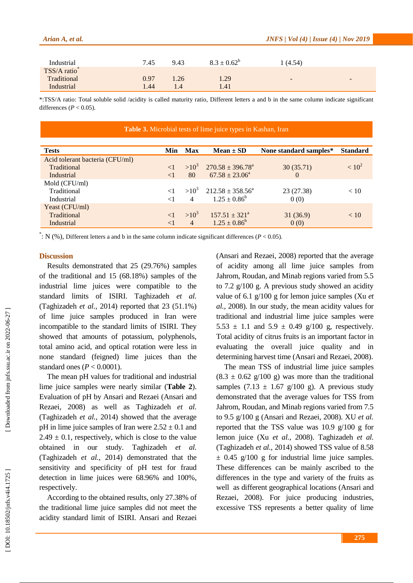| Arian A, et al. |      |                  | $JNFS / Vol (4) / Is sue (4) / Nov 2019$ |   |  |
|-----------------|------|------------------|------------------------------------------|---|--|
|                 |      |                  |                                          |   |  |
| 7.45            | 9.43 | $8.3 \pm 0.62^b$ | 1(4.54)                                  |   |  |
|                 |      |                  |                                          |   |  |
| 0.97            | 1.26 | 1.29             | $\overline{\phantom{0}}$                 | - |  |
| 1.44            | 1.4  | 1.41             |                                          |   |  |
|                 |      |                  |                                          |   |  |

\* :TSS/A ratio: Total soluble solid /acidity is called maturity ratio, Different letters a and b in the same column indicate significant differences  $(P < 0.05)$ .

| Table 3. Microbial tests of lime juice types in Kashan, Iran |          |                |                             |                        |                 |  |
|--------------------------------------------------------------|----------|----------------|-----------------------------|------------------------|-----------------|--|
| <b>Tests</b>                                                 | Min      | <b>Max</b>     | $Mean \pm SD$               | None standard samples* | <b>Standard</b> |  |
| Acid tolerant bacteria (CFU/ml)                              |          |                |                             |                        |                 |  |
| Traditional                                                  | $\leq$ 1 | $>10^3$        | $270.58 \pm 396.78^{\circ}$ | 30(35.71)              | $< 10^{2}$      |  |
| Industrial                                                   | $\leq$ 1 | 80             | $67.58 \pm 23.06^a$         | $\Omega$               |                 |  |
| Mold (CFU/ml)                                                |          |                |                             |                        |                 |  |
| Traditional                                                  | $\leq$ 1 | $>10^3$        | $212.58 \pm 358.56^a$       | 23 (27.38)             | < 10            |  |
| Industrial                                                   |          | $\overline{4}$ | $1.25 \pm 0.86^b$           | 0(0)                   |                 |  |
| Yeast (CFU/ml)                                               |          |                |                             |                        |                 |  |
| Traditional                                                  | $\lt1$   | $>10^3$        | $157.51 \pm 321^{\circ}$    | 31(36.9)               | < 10            |  |
| Industrial                                                   | $\leq$ 1 | $\overline{4}$ | $1.25 \pm 0.86^b$           | 0(0)                   |                 |  |

 $\cdot$ : N (%), Different letters a and b in the same column indicate significant differences ( $P < 0.05$ ).

#### **Discussion**

Result s demonstrated that 25 (29.76%) samples of the traditional and 15 (68.18%) samples of the industrial lime juices were compatible to the standard limits of ISIRI. Taghizadeh *et al.* (Taghizadeh *et al.*, 2014) reported that 23 (51.1%) of lime juice samples produced in Iran were incompatible to the standard limits of ISIRI. They showed that amounts of potassium, polyphenols, total amino acid , and optical rotation were less in none standard (feigned) lime juices than the standard ones  $(P < 0.0001)$ .

The mean pH values for traditional and industrial lime juice samples were nearly similar (**Table 2**). Evaluation of pH by Ansari and Rezaei (Ansari and Rezaei, 2008 ) as well as Taghizadeh *et al.* (Taghizadeh *et al.*, 2014 ) showed that the average pH in lime juice samples of Iran were  $2.52 \pm 0.1$  and  $2.49 \pm 0.1$ , respectively, which is close to the value obtained in our study. Taghizadeh *et al.* (Taghizadeh *et al.*, 2014) demonstrated that the sensitivity and specificity of pH test for fraud detection in lime juices were 68.96% and 100%, respectively .

According to the obtained result s, only 27.38% of the traditional lime juice samples did not meet the acidity standard limit of ISIRI. Ansari and Rezaei

(Ansari and Rezaei, 2008 ) reported that the average of acidity among all lime juice samples from Jahrom, Roudan , and Minab regions varied from 5.5 to 7.2 g/100 g. A previous study showed an acidity value of 6.1 g/100 g for lemon juice samples (Xu *et al.*, 2008 ). In our study, the mean acidity values for traditional and industrial lime juice samples were 5.53  $\pm$  1.1 and 5.9  $\pm$  0.49 g/100 g, respectively. Total acidity of citrus fruits is an important factor in evaluating the overall juice quality and in determining harvest time (Ansari and Rezaei, 2008 ) .

The mean TSS of industrial lime juice samples  $(8.3 \pm 0.62 \text{ g}/100 \text{ g})$  was more than the traditional samples  $(7.13 \pm 1.67 \text{ g}/100 \text{ g})$ . A previous study demonstrated that the average values for TSS from Jahrom, Roudan , and Minab regions varied from 7.5 to 9.5 g/100 g (Ansari and Rezaei, 2008 ). XU *et al.* reported that the TSS value was 10.9 g/100 g for lemon juice (Xu *et al.*, 2008 ). Taghizadeh *et al.* (Taghizadeh *et al.*, 2014 ) showed TSS value of 8.58  $\pm$  0.45 g/100 g for industrial lime juice samples. These differences can be mainly ascribed to the differences in the type and variety of the fruits as well as different geographical locations (Ansari and Rezaei, 2008 ). For juice producing industries, excessive TSS represents a better quality of lime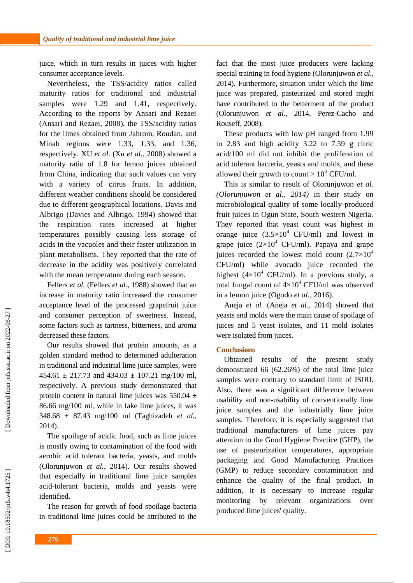juice, which in turn results in juices with higher consumer acceptance levels.

Nevertheless, the TSS/acidity ratios called maturity ratios for traditional and industrial samples were 1.29 and 1.41, respectively. According to the reports by Ansari and Rezaei (Ansari and Rezaei, 2008), the TSS/acidity ratios for the limes obtained from Jahrom, Roudan , and Minab regions were 1.33, 1.33 , and 1.36, respectively. XU *et al.* (Xu *et al.*, 2008 ) showed a maturity ratio of 1.8 for lemon juices obtained from China, indicating that such values can vary with a variety of citrus fruit s. In addition, different weather conditions should be considere d due to different geographical locations . Davis and Albrigo (Davies and Albrigo, 1994 ) showed that the respiration rates increased at higher temperatures possibly causing less storage of acids in the vacuoles and their faster utilization in plant metabolisms. They reported that the rate of decrease in the acidity was positively correlated with the mean temperature during each season.

Fellers *et al.* (Fellers *et al.*, 1988 ) showed that an increase in maturity ratio increase d the consumer acceptance level of the processed grapefruit juice and consumer perception of sweetness. Instead , some factors such as tartness, bitterness , and aroma decrease d these factors.

Our results showed that protein amounts, as a golden standard method to determined adulteration in traditional and industrial lime juice samples , were  $454.61 \pm 217.73$  and  $434.03 \pm 107.21$  mg/100 ml, respectively. A previous study demonstrated that protein content in natural lime juices was  $550.04 \pm$ 86.66 mg/100 ml, while in fake lime juices, it was 348.68 ± 87.43 mg/100 ml (Taghizadeh *et al.*, 2014 ) .

The spoilage of acidic food , such as lime juices is mostly owing to contamination of the food with aerobic acid tolerant bacteria, yeasts , and molds (Olorunjuwon *et al.*, 2014 ). Our results showed that especially in traditional lime juice samples acid-tolerant bacteria, molds and yeasts were identified.

The reason for growth of food spoilage bacteria in traditional lime juices could be attributed to the

fact that the most juice producers were lacking special training in food hygiene (Olorunjuwon *et al.*, 2014 ). Furthermore, situation under which the lime juice was prepared, pasteurized and stored might have contributed to the betterment of the product (Olorunjuwon *et al.*, 2014, Perez-Cacho and Rouseff, 2008 ) .

These products with low pH ranged from 1.99 to 2.83 and high acidity 3.22 to 7.59 g citric acid/100 m l did not inhibit the proliferation of acid tolerant bacteria, yeasts and molds, and these allowed their growth to count >  $10^3$  CFU/ml.

This is similar to result of Olorunjuwon *et al. (Olorunjuwon et al., 2014 )* in their study on microbiological quality of some locally -produced fruit juices in Ogun State, South western Nigeria. They reported that yeast count was highest in orange juice  $(3.5 \times 10^4 \text{ CFU/ml})$  and lowest in grape juice  $(2\times10^4 \text{ CFU/ml})$ . Papaya and grape juices recorded the lowest mold count  $(2.7\times10^{4}$ CFU/m l) while avocado juice recorded the highest  $(4\times10^4$  CFU/ml). In a previous study, a total fungal count of  $4\times10^4$  CFU/ml was observed in a lemon juice (Ogodo *et al.*, 2016 ).

Aneja *et al.* (Aneja *et al.*, 2014 ) showed that yeasts and molds were the main cause of spoilage of juices and 5 yeast isolates, and 11 mold isolates were isolated from juices .

### **Conclusion s**

Obtained results of the present study demonstrated 66 (62.26%) of the total lime juice samples were contrary to standard limit of ISIRI. Also, there was a significant difference between usability and non -usability of conventionally lime juice samples and the industrially lime juice samples. Therefore, it is especially suggested that traditional manufacturers of lime juices pay attention to the Good Hygiene Practice (GHP), the use of pasteurization temperatures, appropriate packaging and Good Manufacturing Practices (GMP) to reduce secondary contamination and enhance the quality of the final product. In addition, it is necessary to increase regular monitoring by relevant organizations over produced lime juices' quality.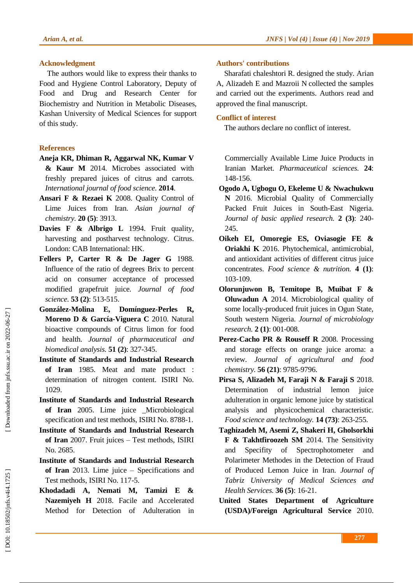# **Acknowledgment**

The authors would like to express their thanks to Food and Hygiene Control Laboratory, Deputy of Food and Drug and Research Center for Biochemistry and Nutrition in Metabolic Diseases, Kashan University of Medical Sciences for support of this study.

# **References**

- **Aneja KR, Dhiman R, Aggarwal NK, Kumar V & Kaur M** 2014. Microbes associated with freshly prepared juices of citrus and carrots. *International journal of food science.* **2014** .
- **Ansari F & Rezaei K** 2008. Quality Control of Lime Juices from Iran. *Asian journal of chemistry.* **20 (5)**: 3913.
- Davies F & Albrigo L 1994. Fruit quality, harvesting and postharvest technology. Citrus. London: CAB International: HK.
- **Fellers P, Carter R & De Jager G** 1988. Influence of the ratio of degrees Brix to percent acid on consumer acceptance of processed modified grapefruit juice. *Journal of food science.* **53 (2)**: 513 -515.
- González-Molina E, Domínguez-Perles R, **Moreno D & García-Viguera C** 2010. Natural bioactive compounds of Citrus limon for food and health. *Journal of pharmaceutical and biomedical analysis.* **51 (2)**: 327 -345.
- **Institute of Standards and Industrial Research of Iran** 1985. Meat and mate product : determination of nitrogen content. ISIRI No. 1029.
- **Institute of Standards and Industrial Research of Iran** 2005. Lime juice \_Microbiological specification and test methods, ISIRI No. 8788 -1.
- **Institute of Standards and Industrial Research of Iran** 2007. Fruit juices – Test methods, ISIRI No. 2685.
- **Institute of Standards and Industrial Research of Iran** 2013. Lime juice – Specifications and Test methods, ISIRI No. 117 -5.
- **Khodadadi A, Nemati M, Tamizi E & Nazemiyeh H** 2018. Facile and Accelerated Method for Detection of Adulteration in

# **Authors' contributions**

Sharafati chaleshtori R. designed the study. Arian A, Alizadeh E and Mazroii N collected the samples and carried out the experiments. Authors read and approved the final manuscript.

# **Conflict of interest**

The authors declare no conflict of interest.

Commercially Available Lime Juice Products in Iranian Market. *Pharmaceutical sciences.* **24**: 148 -156.

- **Ogodo A, Ugbogu O, Ekeleme U & Nwachukwu N** 2016. Microbial Quality of Commercially Packed Fruit Juices in South -East Nigeria. *Journal of basic applied research.* **2 (3)**: 240 - 245.
- **Oikeh EI, Omoregie ES, Oviasogie FE & Oriakhi K** 2016. Phytochemical, antimicrobial, and antioxidant activities of different citrus juice concentrates. *Food science & nutrition.* **4 (1)**: 103 -109.
- **Olorunjuwon B, Temitope B, Muibat F & Oluwadun A** 2014. Microbiological quality of some locally-produced fruit juices in Ogun State, South western Nigeria. *Journal of microbiology research.* **2 (1)**: 001 -008.
- **Perez -Cacho PR & Rouseff R** 2008. Processing and storage effects on orange juice aroma: a review. *Journal of agricultural and food chemistry.* **56 (21)**: 9785 -9796.
- **Pirsa S, Alizadeh M, Faraji N & Faraji S** 2018. Determination of industrial lemon juice adulteration in organic lemone juice by statistical analysis and physicochemical characteristic. *Food science and technology.* **14 (73)**: 263 -255 .
- **Taghizadeh M, Asemi Z, Shakeri H, Gholsorkhi F & Takhtfiroozeh SM** 2014. The Sensitivity and Specifity of Spectrophotometer and Polarimeter Methodes in the Detection of Fraud of Produced Lemon Juice in Iran. *Journal of Tabriz University of Medical Sciences and Health Services.* **36 (5)**: 16 -21.
- **United States Department of Agriculture (USDA)/Foreign Agricultural Service** 2010.